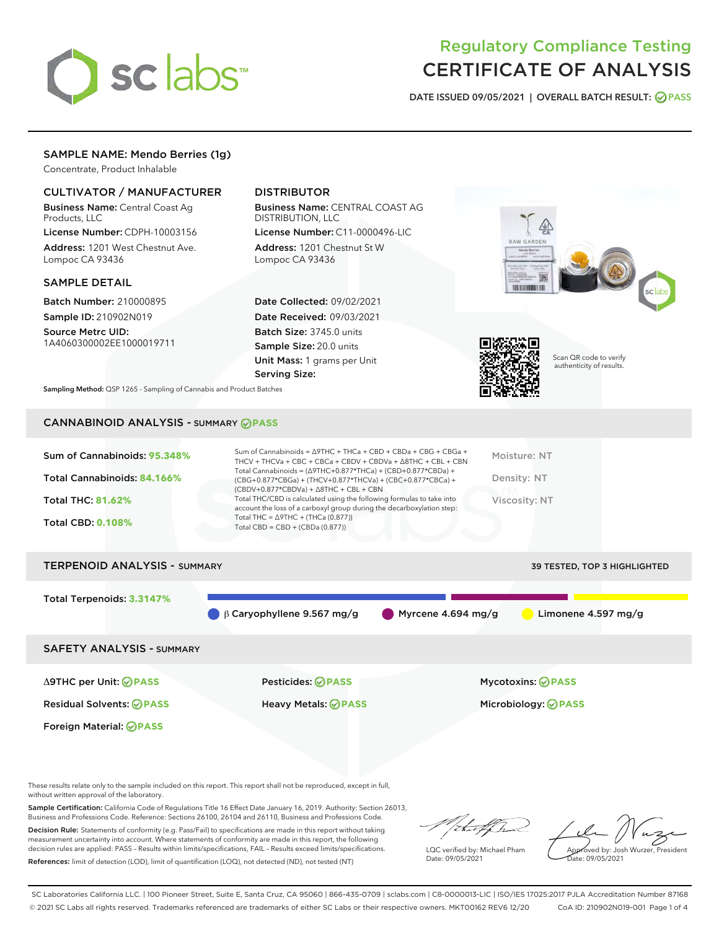

## Regulatory Compliance Testing CERTIFICATE OF ANALYSIS

DATE ISSUED 09/05/2021 | OVERALL BATCH RESULT: @ PASS

## SAMPLE NAME: Mendo Berries (1g)

Concentrate, Product Inhalable

## CULTIVATOR / MANUFACTURER

Business Name: Central Coast Ag Products, LLC

License Number: CDPH-10003156 Address: 1201 West Chestnut Ave. Lompoc CA 93436

#### SAMPLE DETAIL

Batch Number: 210000895 Sample ID: 210902N019

Source Metrc UID: 1A4060300002EE1000019711

## DISTRIBUTOR

Business Name: CENTRAL COAST AG DISTRIBUTION, LLC License Number: C11-0000496-LIC

Address: 1201 Chestnut St W Lompoc CA 93436

Date Collected: 09/02/2021 Date Received: 09/03/2021 Batch Size: 3745.0 units Sample Size: 20.0 units Unit Mass: 1 grams per Unit Serving Size:





Scan QR code to verify authenticity of results.

Sampling Method: QSP 1265 - Sampling of Cannabis and Product Batches

## CANNABINOID ANALYSIS - SUMMARY **PASS**

| Sum of Cannabinoids: 95.348% | Sum of Cannabinoids = $\triangle$ 9THC + THCa + CBD + CBDa + CBG + CBGa +<br>THCV + THCVa + CBC + CBCa + CBDV + CBDVa + $\Delta$ 8THC + CBL + CBN                                    | Moisture: NT  |
|------------------------------|--------------------------------------------------------------------------------------------------------------------------------------------------------------------------------------|---------------|
| Total Cannabinoids: 84.166%  | Total Cannabinoids = $(\Delta$ 9THC+0.877*THCa) + (CBD+0.877*CBDa) +<br>(CBG+0.877*CBGa) + (THCV+0.877*THCVa) + (CBC+0.877*CBCa) +<br>$(CBDV+0.877*CBDVa) + \Delta 8THC + CBL + CBN$ | Density: NT   |
| <b>Total THC: 81.62%</b>     | Total THC/CBD is calculated using the following formulas to take into<br>account the loss of a carboxyl group during the decarboxylation step:                                       | Viscosity: NT |
| <b>Total CBD: 0.108%</b>     | Total THC = $\triangle$ 9THC + (THCa (0.877))<br>Total CBD = $CBD + (CBDa (0.877))$                                                                                                  |               |
|                              |                                                                                                                                                                                      |               |

# TERPENOID ANALYSIS - SUMMARY 39 TESTED, TOP 3 HIGHLIGHTED Total Terpenoids: **3.3147%** β Caryophyllene 9.567 mg/g Myrcene 4.694 mg/g Limonene 4.597 mg/g SAFETY ANALYSIS - SUMMARY

Foreign Material: **PASS**

Δ9THC per Unit: **PASS** Pesticides: **PASS** Mycotoxins: **PASS**

Residual Solvents: **PASS** Heavy Metals: **PASS** Microbiology: **PASS**

These results relate only to the sample included on this report. This report shall not be reproduced, except in full, without written approval of the laboratory.

Sample Certification: California Code of Regulations Title 16 Effect Date January 16, 2019. Authority: Section 26013, Business and Professions Code. Reference: Sections 26100, 26104 and 26110, Business and Professions Code.

Decision Rule: Statements of conformity (e.g. Pass/Fail) to specifications are made in this report without taking measurement uncertainty into account. Where statements of conformity are made in this report, the following decision rules are applied: PASS – Results within limits/specifications, FAIL – Results exceed limits/specifications. References: limit of detection (LOD), limit of quantification (LOQ), not detected (ND), not tested (NT)

that f Tr

LQC verified by: Michael Pham Date: 09/05/2021

Approved by: Josh Wurzer, President ate: 09/05/2021

SC Laboratories California LLC. | 100 Pioneer Street, Suite E, Santa Cruz, CA 95060 | 866-435-0709 | sclabs.com | C8-0000013-LIC | ISO/IES 17025:2017 PJLA Accreditation Number 87168 © 2021 SC Labs all rights reserved. Trademarks referenced are trademarks of either SC Labs or their respective owners. MKT00162 REV6 12/20 CoA ID: 210902N019-001 Page 1 of 4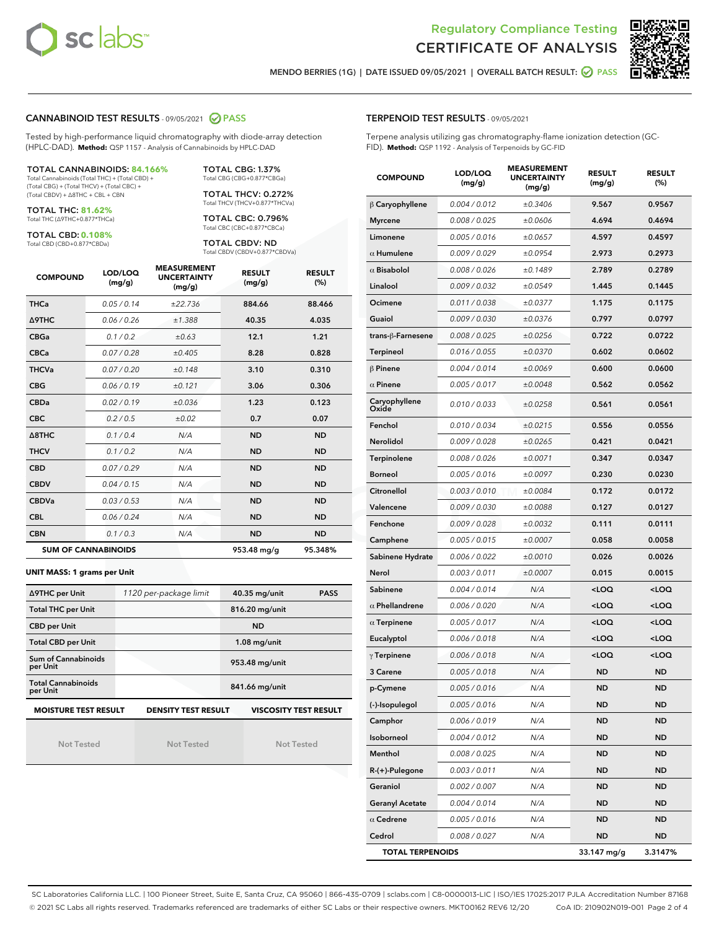



MENDO BERRIES (1G) | DATE ISSUED 09/05/2021 | OVERALL BATCH RESULT: **⊘** PASS

## CANNABINOID TEST RESULTS - 09/05/2021 @ PASS

Tested by high-performance liquid chromatography with diode-array detection (HPLC-DAD). **Method:** QSP 1157 - Analysis of Cannabinoids by HPLC-DAD

#### TOTAL CANNABINOIDS: **84.166%**

Total Cannabinoids (Total THC) + (Total CBD) + (Total CBG) + (Total THCV) + (Total CBC) + (Total CBDV) + ∆8THC + CBL + CBN

TOTAL THC: **81.62%** Total THC (∆9THC+0.877\*THCa)

TOTAL CBD: **0.108%**

Total CBD (CBD+0.877\*CBDa)

TOTAL CBG: 1.37% Total CBG (CBG+0.877\*CBGa)

TOTAL THCV: 0.272% Total THCV (THCV+0.877\*THCVa)

TOTAL CBC: 0.796% Total CBC (CBC+0.877\*CBCa)

TOTAL CBDV: ND Total CBDV (CBDV+0.877\*CBDVa)

| <b>COMPOUND</b>  | LOD/LOQ<br>(mg/g)          | <b>MEASUREMENT</b><br><b>UNCERTAINTY</b><br>(mg/g) | <b>RESULT</b><br>(mg/g) | <b>RESULT</b><br>(%) |
|------------------|----------------------------|----------------------------------------------------|-------------------------|----------------------|
| <b>THCa</b>      | 0.05 / 0.14                | ±22.736                                            | 884.66                  | 88.466               |
| <b>A9THC</b>     | 0.06/0.26                  | ±1.388                                             | 40.35                   | 4.035                |
| <b>CBGa</b>      | 0.1 / 0.2                  | ±0.63                                              | 12.1                    | 1.21                 |
| <b>CBCa</b>      | 0.07 / 0.28                | ±0.405                                             | 8.28                    | 0.828                |
| <b>THCVa</b>     | 0.07 / 0.20                | ±0.148                                             | 3.10                    | 0.310                |
| <b>CBG</b>       | 0.06/0.19                  | ±0.121                                             | 3.06                    | 0.306                |
| <b>CBDa</b>      | 0.02/0.19                  | ±0.036                                             | 1.23                    | 0.123                |
| <b>CBC</b>       | 0.2/0.5                    | ±0.02                                              | 0.7                     | 0.07                 |
| $\triangle$ 8THC | 0.1 / 0.4                  | N/A                                                | <b>ND</b>               | <b>ND</b>            |
| <b>THCV</b>      | 0.1/0.2                    | N/A                                                | <b>ND</b>               | <b>ND</b>            |
| <b>CBD</b>       | 0.07/0.29                  | N/A                                                | <b>ND</b>               | <b>ND</b>            |
| <b>CBDV</b>      | 0.04 / 0.15                | N/A                                                | <b>ND</b>               | <b>ND</b>            |
| <b>CBDVa</b>     | 0.03 / 0.53                | N/A                                                | <b>ND</b>               | <b>ND</b>            |
| <b>CBL</b>       | 0.06 / 0.24                | N/A                                                | <b>ND</b>               | <b>ND</b>            |
| <b>CBN</b>       | 0.1/0.3                    | N/A                                                | <b>ND</b>               | <b>ND</b>            |
|                  | <b>SUM OF CANNABINOIDS</b> |                                                    | 953.48 mg/g             | 95.348%              |

#### **UNIT MASS: 1 grams per Unit**

| ∆9THC per Unit                        | 1120 per-package limit     | 40.35 mg/unit<br><b>PASS</b> |
|---------------------------------------|----------------------------|------------------------------|
| <b>Total THC per Unit</b>             |                            | 816.20 mg/unit               |
| <b>CBD per Unit</b>                   |                            | <b>ND</b>                    |
| <b>Total CBD per Unit</b>             |                            | $1.08$ mg/unit               |
| Sum of Cannabinoids<br>per Unit       |                            | 953.48 mg/unit               |
| <b>Total Cannabinoids</b><br>per Unit |                            | 841.66 mg/unit               |
| <b>MOISTURE TEST RESULT</b>           | <b>DENSITY TEST RESULT</b> | <b>VISCOSITY TEST RESULT</b> |

Not Tested

| Not Tested |  |
|------------|--|

Not Tested

#### TERPENOID TEST RESULTS - 09/05/2021

Terpene analysis utilizing gas chromatography-flame ionization detection (GC-FID). **Method:** QSP 1192 - Analysis of Terpenoids by GC-FID

| <b>COMPOUND</b>         | LOD/LOQ<br>(mg/g) | <b>MEASUREMENT</b><br><b>UNCERTAINTY</b><br>(mg/g) | <b>RESULT</b><br>(mg/g)                          | <b>RESULT</b><br>(%) |
|-------------------------|-------------------|----------------------------------------------------|--------------------------------------------------|----------------------|
| $\beta$ Caryophyllene   | 0.004 / 0.012     | ±0.3406                                            | 9.567                                            | 0.9567               |
| <b>Myrcene</b>          | 0.008 / 0.025     | ±0.0606                                            | 4.694                                            | 0.4694               |
| Limonene                | 0.005 / 0.016     | ±0.0657                                            | 4.597                                            | 0.4597               |
| $\alpha$ Humulene       | 0.009 / 0.029     | ±0.0954                                            | 2.973                                            | 0.2973               |
| $\alpha$ Bisabolol      | 0.008 / 0.026     | ±0.1489                                            | 2.789                                            | 0.2789               |
| Linalool                | 0.009/0.032       | ±0.0549                                            | 1.445                                            | 0.1445               |
| Ocimene                 | 0.011 / 0.038     | ±0.0377                                            | 1.175                                            | 0.1175               |
| Guaiol                  | 0.009 / 0.030     | ±0.0376                                            | 0.797                                            | 0.0797               |
| trans-ß-Farnesene       | 0.008 / 0.025     | ±0.0256                                            | 0.722                                            | 0.0722               |
| Terpineol               | 0.016 / 0.055     | ±0.0370                                            | 0.602                                            | 0.0602               |
| $\beta$ Pinene          | 0.004 / 0.014     | ±0.0069                                            | 0.600                                            | 0.0600               |
| $\alpha$ Pinene         | 0.005 / 0.017     | ±0.0048                                            | 0.562                                            | 0.0562               |
| Caryophyllene<br>Oxide  | 0.010 / 0.033     | ±0.0258                                            | 0.561                                            | 0.0561               |
| Fenchol                 | 0.010 / 0.034     | ±0.0215                                            | 0.556                                            | 0.0556               |
| <b>Nerolidol</b>        | 0.009 / 0.028     | ±0.0265                                            | 0.421                                            | 0.0421               |
| Terpinolene             | 0.008 / 0.026     | ±0.0071                                            | 0.347                                            | 0.0347               |
| <b>Borneol</b>          | 0.005 / 0.016     | ±0.0097                                            | 0.230                                            | 0.0230               |
| Citronellol             | 0.003 / 0.010     | ±0.0084                                            | 0.172                                            | 0.0172               |
| Valencene               | 0.009 / 0.030     | ±0.0088                                            | 0.127                                            | 0.0127               |
| Fenchone                | 0.009 / 0.028     | ±0.0032                                            | 0.111                                            | 0.0111               |
| Camphene                | 0.005 / 0.015     | ±0.0007                                            | 0.058                                            | 0.0058               |
| Sabinene Hydrate        | 0.006 / 0.022     | ±0.0010                                            | 0.026                                            | 0.0026               |
| Nerol                   | 0.003 / 0.011     | ±0.0007                                            | 0.015                                            | 0.0015               |
| Sabinene                | 0.004 / 0.014     | N/A                                                | <loq< th=""><th><math>&lt;</math>LOQ</th></loq<> | $<$ LOQ              |
| $\alpha$ Phellandrene   | 0.006 / 0.020     | N/A                                                | <loq< th=""><th><loq< th=""></loq<></th></loq<>  | <loq< th=""></loq<>  |
| $\alpha$ Terpinene      | 0.005 / 0.017     | N/A                                                | <loq< th=""><th><loq< th=""></loq<></th></loq<>  | <loq< th=""></loq<>  |
| Eucalyptol              | 0.006 / 0.018     | N/A                                                | <loq< th=""><th><loq< th=""></loq<></th></loq<>  | <loq< th=""></loq<>  |
| $\gamma$ Terpinene      | 0.006 / 0.018     | N/A                                                | <loq< th=""><th><loq< th=""></loq<></th></loq<>  | <loq< th=""></loq<>  |
| 3 Carene                | 0.005 / 0.018     | N/A                                                | ND                                               | <b>ND</b>            |
| p-Cymene                | 0.005 / 0.016     | N/A                                                | <b>ND</b>                                        | ND                   |
| (-)-Isopulegol          | 0.005 / 0.016     | N/A                                                | ND                                               | ND                   |
| Camphor                 | 0.006 / 0.019     | N/A                                                | ND                                               | ND                   |
| Isoborneol              | 0.004 / 0.012     | N/A                                                | <b>ND</b>                                        | ND                   |
| Menthol                 | 0.008 / 0.025     | N/A                                                | <b>ND</b>                                        | <b>ND</b>            |
| R-(+)-Pulegone          | 0.003 / 0.011     | N/A                                                | ND                                               | ND                   |
| Geraniol                | 0.002 / 0.007     | N/A                                                | <b>ND</b>                                        | ND                   |
| <b>Geranyl Acetate</b>  | 0.004 / 0.014     | N/A                                                | <b>ND</b>                                        | <b>ND</b>            |
| $\alpha$ Cedrene        | 0.005 / 0.016     | N/A                                                | ND                                               | ND                   |
| Cedrol                  | 0.008 / 0.027     | N/A                                                | <b>ND</b>                                        | ND                   |
| <b>TOTAL TERPENOIDS</b> |                   |                                                    | 33.147 mg/g                                      | 3.3147%              |

SC Laboratories California LLC. | 100 Pioneer Street, Suite E, Santa Cruz, CA 95060 | 866-435-0709 | sclabs.com | C8-0000013-LIC | ISO/IES 17025:2017 PJLA Accreditation Number 87168 © 2021 SC Labs all rights reserved. Trademarks referenced are trademarks of either SC Labs or their respective owners. MKT00162 REV6 12/20 CoA ID: 210902N019-001 Page 2 of 4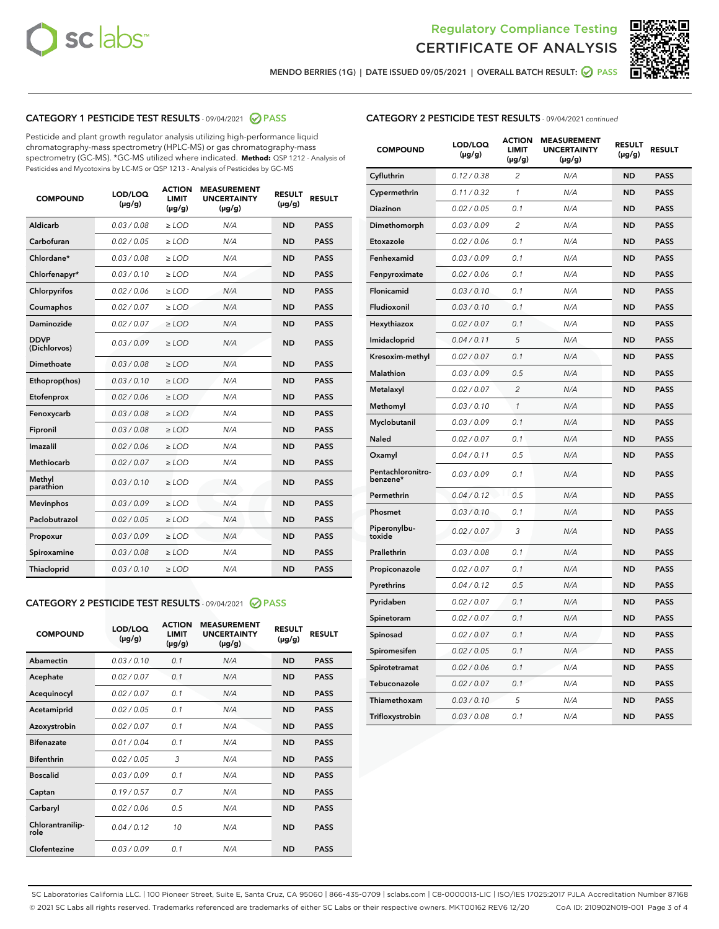



MENDO BERRIES (1G) | DATE ISSUED 09/05/2021 | OVERALL BATCH RESULT: ● PASS

## CATEGORY 1 PESTICIDE TEST RESULTS - 09/04/2021 2 PASS

Pesticide and plant growth regulator analysis utilizing high-performance liquid chromatography-mass spectrometry (HPLC-MS) or gas chromatography-mass spectrometry (GC-MS). \*GC-MS utilized where indicated. **Method:** QSP 1212 - Analysis of Pesticides and Mycotoxins by LC-MS or QSP 1213 - Analysis of Pesticides by GC-MS

| <b>COMPOUND</b>             | LOD/LOQ<br>$(\mu g/g)$ | <b>ACTION</b><br><b>LIMIT</b><br>$(\mu g/g)$ | <b>MEASUREMENT</b><br><b>UNCERTAINTY</b><br>$(\mu g/g)$ | <b>RESULT</b><br>$(\mu g/g)$ | <b>RESULT</b> |
|-----------------------------|------------------------|----------------------------------------------|---------------------------------------------------------|------------------------------|---------------|
| Aldicarb                    | 0.03 / 0.08            | $\ge$ LOD                                    | N/A                                                     | <b>ND</b>                    | <b>PASS</b>   |
| Carbofuran                  | 0.02/0.05              | $>$ LOD                                      | N/A                                                     | <b>ND</b>                    | <b>PASS</b>   |
| Chlordane*                  | 0.03 / 0.08            | $\ge$ LOD                                    | N/A                                                     | <b>ND</b>                    | <b>PASS</b>   |
| Chlorfenapyr*               | 0.03/0.10              | $>$ LOD                                      | N/A                                                     | <b>ND</b>                    | <b>PASS</b>   |
| Chlorpyrifos                | 0.02 / 0.06            | $\geq$ LOD                                   | N/A                                                     | <b>ND</b>                    | <b>PASS</b>   |
| Coumaphos                   | 0.02 / 0.07            | $\ge$ LOD                                    | N/A                                                     | <b>ND</b>                    | <b>PASS</b>   |
| Daminozide                  | 0.02 / 0.07            | $\ge$ LOD                                    | N/A                                                     | <b>ND</b>                    | <b>PASS</b>   |
| <b>DDVP</b><br>(Dichlorvos) | 0.03/0.09              | $\ge$ LOD                                    | N/A                                                     | <b>ND</b>                    | <b>PASS</b>   |
| Dimethoate                  | 0.03/0.08              | $>$ LOD                                      | N/A                                                     | <b>ND</b>                    | <b>PASS</b>   |
| Ethoprop(hos)               | 0.03/0.10              | $\ge$ LOD                                    | N/A                                                     | <b>ND</b>                    | <b>PASS</b>   |
| Etofenprox                  | 0.02 / 0.06            | $\ge$ LOD                                    | N/A                                                     | <b>ND</b>                    | <b>PASS</b>   |
| Fenoxycarb                  | 0.03 / 0.08            | $\ge$ LOD                                    | N/A                                                     | <b>ND</b>                    | <b>PASS</b>   |
| Fipronil                    | 0.03/0.08              | $>$ LOD                                      | N/A                                                     | <b>ND</b>                    | <b>PASS</b>   |
| Imazalil                    | 0.02 / 0.06            | $\ge$ LOD                                    | N/A                                                     | <b>ND</b>                    | <b>PASS</b>   |
| Methiocarb                  | 0.02 / 0.07            | $\ge$ LOD                                    | N/A                                                     | <b>ND</b>                    | <b>PASS</b>   |
| Methyl<br>parathion         | 0.03/0.10              | $\ge$ LOD                                    | N/A                                                     | <b>ND</b>                    | <b>PASS</b>   |
| <b>Mevinphos</b>            | 0.03/0.09              | $>$ LOD                                      | N/A                                                     | <b>ND</b>                    | <b>PASS</b>   |
| Paclobutrazol               | 0.02 / 0.05            | $\ge$ LOD                                    | N/A                                                     | <b>ND</b>                    | <b>PASS</b>   |
| Propoxur                    | 0.03/0.09              | $\ge$ LOD                                    | N/A                                                     | <b>ND</b>                    | <b>PASS</b>   |
| Spiroxamine                 | 0.03 / 0.08            | $\ge$ LOD                                    | N/A                                                     | <b>ND</b>                    | <b>PASS</b>   |
| Thiacloprid                 | 0.03/0.10              | $\ge$ LOD                                    | N/A                                                     | <b>ND</b>                    | <b>PASS</b>   |

#### CATEGORY 2 PESTICIDE TEST RESULTS - 09/04/2021 @ PASS

| <b>COMPOUND</b>          | LOD/LOO<br>$(\mu g/g)$ | <b>ACTION</b><br>LIMIT<br>$(\mu g/g)$ | <b>MEASUREMENT</b><br><b>UNCERTAINTY</b><br>$(\mu g/g)$ | <b>RESULT</b><br>$(\mu g/g)$ | <b>RESULT</b> |  |
|--------------------------|------------------------|---------------------------------------|---------------------------------------------------------|------------------------------|---------------|--|
| Abamectin                | 0.03/0.10              | 0.1                                   | N/A                                                     | <b>ND</b>                    | <b>PASS</b>   |  |
| Acephate                 | 0.02/0.07              | 0.1                                   | N/A                                                     | <b>ND</b>                    | <b>PASS</b>   |  |
| Acequinocyl              | 0.02/0.07              | 0.1                                   | N/A                                                     | <b>ND</b>                    | <b>PASS</b>   |  |
| Acetamiprid              | 0.02 / 0.05            | 0.1                                   | N/A                                                     | <b>ND</b>                    | <b>PASS</b>   |  |
| Azoxystrobin             | 0.02/0.07              | 0.1                                   | N/A                                                     | <b>ND</b>                    | <b>PASS</b>   |  |
| <b>Bifenazate</b>        | 0.01 / 0.04            | 0.1                                   | N/A                                                     | <b>ND</b>                    | <b>PASS</b>   |  |
| <b>Bifenthrin</b>        | 0.02 / 0.05            | 3                                     | N/A                                                     | <b>ND</b>                    | <b>PASS</b>   |  |
| <b>Boscalid</b>          | 0.03/0.09              | 0.1                                   | N/A                                                     | <b>ND</b>                    | <b>PASS</b>   |  |
| Captan                   | 0.19/0.57              | 0.7                                   | N/A                                                     | <b>ND</b>                    | <b>PASS</b>   |  |
| Carbaryl                 | 0.02/0.06              | 0.5                                   | N/A                                                     | <b>ND</b>                    | <b>PASS</b>   |  |
| Chlorantranilip-<br>role | 0.04/0.12              | 10                                    | N/A                                                     | <b>ND</b>                    | <b>PASS</b>   |  |
| Clofentezine             | 0.03/0.09              | 0.1                                   | N/A                                                     | <b>ND</b>                    | <b>PASS</b>   |  |

| <b>CATEGORY 2 PESTICIDE TEST RESULTS</b> - 09/04/2021 continued |  |
|-----------------------------------------------------------------|--|
|-----------------------------------------------------------------|--|

| <b>COMPOUND</b>               | LOD/LOQ<br>(µg/g) | <b>ACTION</b><br><b>LIMIT</b><br>(µg/g) | <b>MEASUREMENT</b><br><b>UNCERTAINTY</b><br>$(\mu g/g)$ | <b>RESULT</b><br>(µg/g) | <b>RESULT</b> |
|-------------------------------|-------------------|-----------------------------------------|---------------------------------------------------------|-------------------------|---------------|
| Cyfluthrin                    | 0.12 / 0.38       | $\overline{c}$                          | N/A                                                     | <b>ND</b>               | <b>PASS</b>   |
| Cypermethrin                  | 0.11 / 0.32       | $\mathcal{I}$                           | N/A                                                     | <b>ND</b>               | <b>PASS</b>   |
| <b>Diazinon</b>               | 0.02 / 0.05       | 0.1                                     | N/A                                                     | <b>ND</b>               | <b>PASS</b>   |
| Dimethomorph                  | 0.03 / 0.09       | 2                                       | N/A                                                     | <b>ND</b>               | <b>PASS</b>   |
| Etoxazole                     | 0.02 / 0.06       | 0.1                                     | N/A                                                     | <b>ND</b>               | <b>PASS</b>   |
| Fenhexamid                    | 0.03 / 0.09       | 0.1                                     | N/A                                                     | <b>ND</b>               | <b>PASS</b>   |
| Fenpyroximate                 | 0.02 / 0.06       | 0.1                                     | N/A                                                     | <b>ND</b>               | <b>PASS</b>   |
| Flonicamid                    | 0.03 / 0.10       | 0.1                                     | N/A                                                     | <b>ND</b>               | <b>PASS</b>   |
| Fludioxonil                   | 0.03/0.10         | 0.1                                     | N/A                                                     | <b>ND</b>               | <b>PASS</b>   |
| Hexythiazox                   | 0.02 / 0.07       | 0.1                                     | N/A                                                     | <b>ND</b>               | <b>PASS</b>   |
| Imidacloprid                  | 0.04 / 0.11       | 5                                       | N/A                                                     | <b>ND</b>               | <b>PASS</b>   |
| Kresoxim-methyl               | 0.02 / 0.07       | 0.1                                     | N/A                                                     | <b>ND</b>               | <b>PASS</b>   |
| <b>Malathion</b>              | 0.03 / 0.09       | 0.5                                     | N/A                                                     | <b>ND</b>               | <b>PASS</b>   |
| Metalaxyl                     | 0.02 / 0.07       | $\overline{c}$                          | N/A                                                     | <b>ND</b>               | <b>PASS</b>   |
| Methomyl                      | 0.03 / 0.10       | 1                                       | N/A                                                     | <b>ND</b>               | <b>PASS</b>   |
| Myclobutanil                  | 0.03 / 0.09       | 0.1                                     | N/A                                                     | <b>ND</b>               | <b>PASS</b>   |
| Naled                         | 0.02 / 0.07       | 0.1                                     | N/A                                                     | <b>ND</b>               | <b>PASS</b>   |
| Oxamyl                        | 0.04 / 0.11       | 0.5                                     | N/A                                                     | <b>ND</b>               | <b>PASS</b>   |
| Pentachloronitro-<br>benzene* | 0.03 / 0.09       | 0.1                                     | N/A                                                     | <b>ND</b>               | <b>PASS</b>   |
| Permethrin                    | 0.04 / 0.12       | 0.5                                     | N/A                                                     | <b>ND</b>               | <b>PASS</b>   |
| Phosmet                       | 0.03 / 0.10       | 0.1                                     | N/A                                                     | <b>ND</b>               | <b>PASS</b>   |
| Piperonylbu-<br>toxide        | 0.02 / 0.07       | 3                                       | N/A                                                     | <b>ND</b>               | <b>PASS</b>   |
| Prallethrin                   | 0.03 / 0.08       | 0.1                                     | N/A                                                     | <b>ND</b>               | <b>PASS</b>   |
| Propiconazole                 | 0.02 / 0.07       | 0.1                                     | N/A                                                     | <b>ND</b>               | <b>PASS</b>   |
| Pyrethrins                    | 0.04 / 0.12       | 0.5                                     | N/A                                                     | <b>ND</b>               | <b>PASS</b>   |
| Pyridaben                     | 0.02 / 0.07       | 0.1                                     | N/A                                                     | <b>ND</b>               | <b>PASS</b>   |
| Spinetoram                    | 0.02 / 0.07       | 0.1                                     | N/A                                                     | <b>ND</b>               | <b>PASS</b>   |
| Spinosad                      | 0.02 / 0.07       | 0.1                                     | N/A                                                     | <b>ND</b>               | <b>PASS</b>   |
| Spiromesifen                  | 0.02 / 0.05       | 0.1                                     | N/A                                                     | <b>ND</b>               | <b>PASS</b>   |
| Spirotetramat                 | 0.02 / 0.06       | 0.1                                     | N/A                                                     | <b>ND</b>               | <b>PASS</b>   |
| Tebuconazole                  | 0.02 / 0.07       | 0.1                                     | N/A                                                     | <b>ND</b>               | <b>PASS</b>   |
| Thiamethoxam                  | 0.03 / 0.10       | 5                                       | N/A                                                     | <b>ND</b>               | <b>PASS</b>   |
| Trifloxystrobin               | 0.03 / 0.08       | 0.1                                     | N/A                                                     | <b>ND</b>               | <b>PASS</b>   |

SC Laboratories California LLC. | 100 Pioneer Street, Suite E, Santa Cruz, CA 95060 | 866-435-0709 | sclabs.com | C8-0000013-LIC | ISO/IES 17025:2017 PJLA Accreditation Number 87168 © 2021 SC Labs all rights reserved. Trademarks referenced are trademarks of either SC Labs or their respective owners. MKT00162 REV6 12/20 CoA ID: 210902N019-001 Page 3 of 4